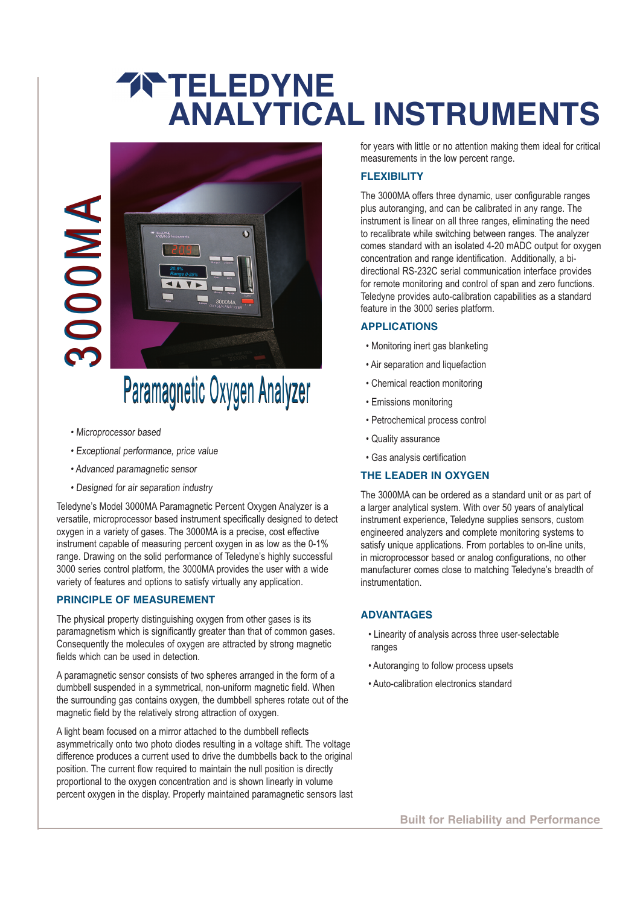## **TRATELEDYNE ANALYTICAL INSTRUMENTS**





# Paramagnetic Oxygen Analyzer Paramagnetic Oxygen Analyzer

- Microprocessor based
- Exceptional performance, price value
- Advanced paramagnetic sensor
- Designed for air separation industry

Teledyne's Model 3000MA Paramagnetic Percent Oxygen Analyzer is a versatile, microprocessor based instrument specifically designed to detect oxygen in a variety of gases. The 3000MA is a precise, cost effective instrument capable of measuring percent oxygen in as low as the 0-1% range. Drawing on the solid performance of Teledyne's highly successful 3000 series control platform, the 3000MA provides the user with a wide variety of features and options to satisfy virtually any application.

## **PRINCIPLE OF MEASUREMENT**

The physical property distinguishing oxygen from other gases is its paramagnetism which is significantly greater than that of common gases. Consequently the molecules of oxygen are attracted by strong magnetic fields which can be used in detection.

A paramagnetic sensor consists of two spheres arranged in the form of a dumbbell suspended in a symmetrical, non-uniform magnetic field. When the surrounding gas contains oxygen, the dumbbell spheres rotate out of the magnetic field by the relatively strong attraction of oxygen.

A light beam focused on a mirror attached to the dumbbell reflects asymmetrically onto two photo diodes resulting in a voltage shift. The voltage difference produces a current used to drive the dumbbells back to the original position. The current flow required to maintain the null position is directly proportional to the oxygen concentration and is shown linearly in volume

for years with little or no attention making them ideal for critical measurements in the low percent range.

## **FLEXIBILITY**

The 3000MA offers three dynamic, user configurable ranges plus autoranging, and can be calibrated in any range. The instrument is linear on all three ranges, eliminating the need to recalibrate while switching between ranges. The analyzer comes standard with an isolated 4-20 mADC output for oxygen concentration and range identification. Additionally, a bidirectional RS-232C serial communication interface provides for remote monitoring and control of span and zero functions. Teledyne provides auto-calibration capabilities as a standard feature in the 3000 series platform.

## **APPLICATIONS**

- Monitoring inert gas blanketing
- Air separation and liquefaction
- Chemical reaction monitoring
- Emissions monitoring
- Petrochemical process control
- Quality assurance
- Gas analysis certification

## **THE LEADER IN OXYGEN**

The 3000MA can be ordered as a standard unit or as part of a larger analytical system. With over 50 years of analytical instrument experience, Teledyne supplies sensors, custom engineered analyzers and complete monitoring systems to satisfy unique applications. From portables to on-line units, in microprocessor based or analog configurations, no other manufacturer comes close to matching Teledyne's breadth of instrumentation.

## **ADVANTAGES**

- Linearity of analysis across three user-selectable ranges
- Autoranging to follow process upsets
- Auto-calibration electronics standard